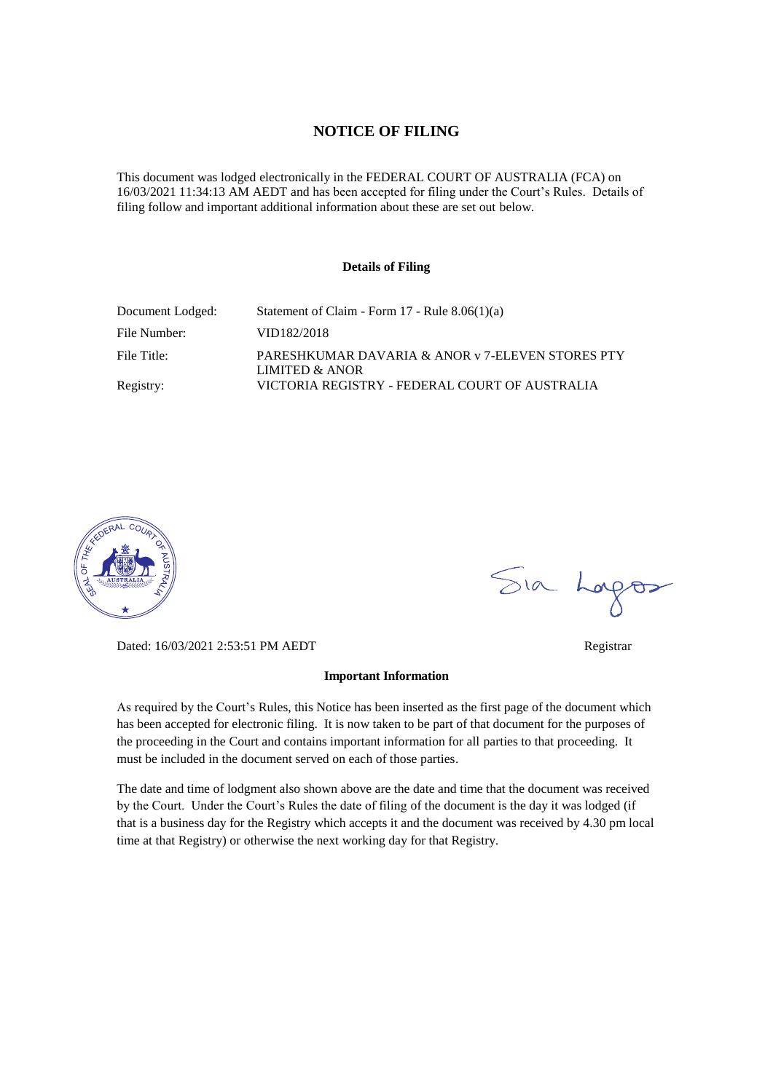### **NOTICE OF FILING**

This document was lodged electronically in the FEDERAL COURT OF AUSTRALIA (FCA) on 16/03/2021 11:34:13 AM AEDT and has been accepted for filing under the Court's Rules. Details of filing follow and important additional information about these are set out below.

#### **Details of Filing**

| Document Lodged: | Statement of Claim - Form $17$ - Rule $8.06(1)(a)$                 |
|------------------|--------------------------------------------------------------------|
| File Number:     | VID182/2018                                                        |
| File Title:      | PARESHKUMAR DAVARIA & ANOR v 7-ELEVEN STORES PTY<br>LIMITED & ANOR |
| Registry:        | VICTORIA REGISTRY - FEDERAL COURT OF AUSTRALIA                     |



Dated: 16/03/2021 2:53:51 PM AEDT Registrar

#### **Important Information**

As required by the Court's Rules, this Notice has been inserted as the first page of the document which has been accepted for electronic filing. It is now taken to be part of that document for the purposes of the proceeding in the Court and contains important information for all parties to that proceeding. It must be included in the document served on each of those parties.

The date and time of lodgment also shown above are the date and time that the document was received by the Court. Under the Court's Rules the date of filing of the document is the day it was lodged (if that is a business day for the Registry which accepts it and the document was received by 4.30 pm local time at that Registry) or otherwise the next working day for that Registry.

Sia Logos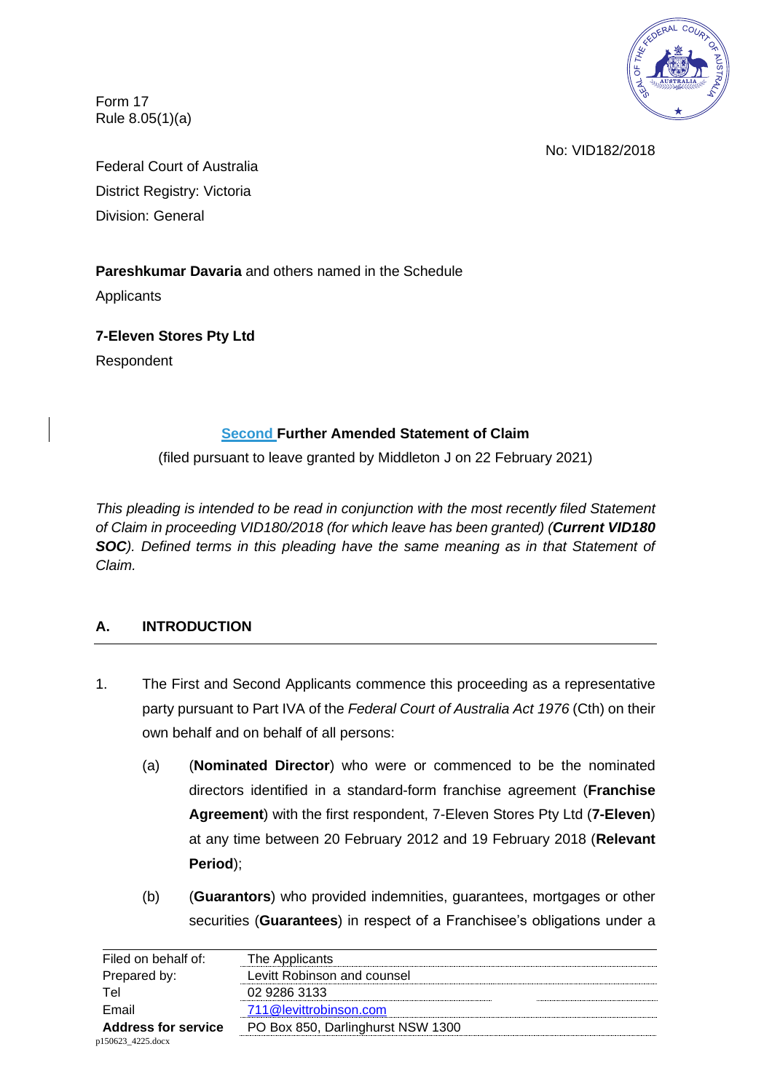

Form 17 Rule 8.05(1)(a)

No: VID182/2018

Federal Court of Australia District Registry: Victoria Division: General

## **Pareshkumar Davaria** and others named in the Schedule

**Applicants** 

**7-Eleven Stores Pty Ltd**

Respondent

## **Second Further Amended Statement of Claim**

(filed pursuant to leave granted by Middleton J on 22 February 2021)

*This pleading is intended to be read in conjunction with the most recently filed Statement of Claim in proceeding VID180/2018 (for which leave has been granted) (Current VID180*  **SOC***). Defined terms in this pleading have the same meaning as in that Statement of Claim.*

# **A. INTRODUCTION**

- 1. The First and Second Applicants commence this proceeding as a representative party pursuant to Part IVA of the *Federal Court of Australia Act 1976* (Cth) on their own behalf and on behalf of all persons:
	- (a) (**Nominated Director**) who were or commenced to be the nominated directors identified in a standard-form franchise agreement (**Franchise Agreement**) with the first respondent, 7-Eleven Stores Pty Ltd (**7-Eleven**) at any time between 20 February 2012 and 19 February 2018 (**Relevant Period**);
	- (b) (**Guarantors**) who provided indemnities, guarantees, mortgages or other securities (**Guarantees**) in respect of a Franchisee's obligations under a

| Filed on behalf of:        | The Applicants                    |
|----------------------------|-----------------------------------|
| Prepared by:               | Levitt Robinson and counsel       |
| Tel                        | 02 9286 3133                      |
| Email                      | 711@levittrobinson.com            |
| <b>Address for service</b> | PO Box 850, Darlinghurst NSW 1300 |
| p150623 4225.docx          |                                   |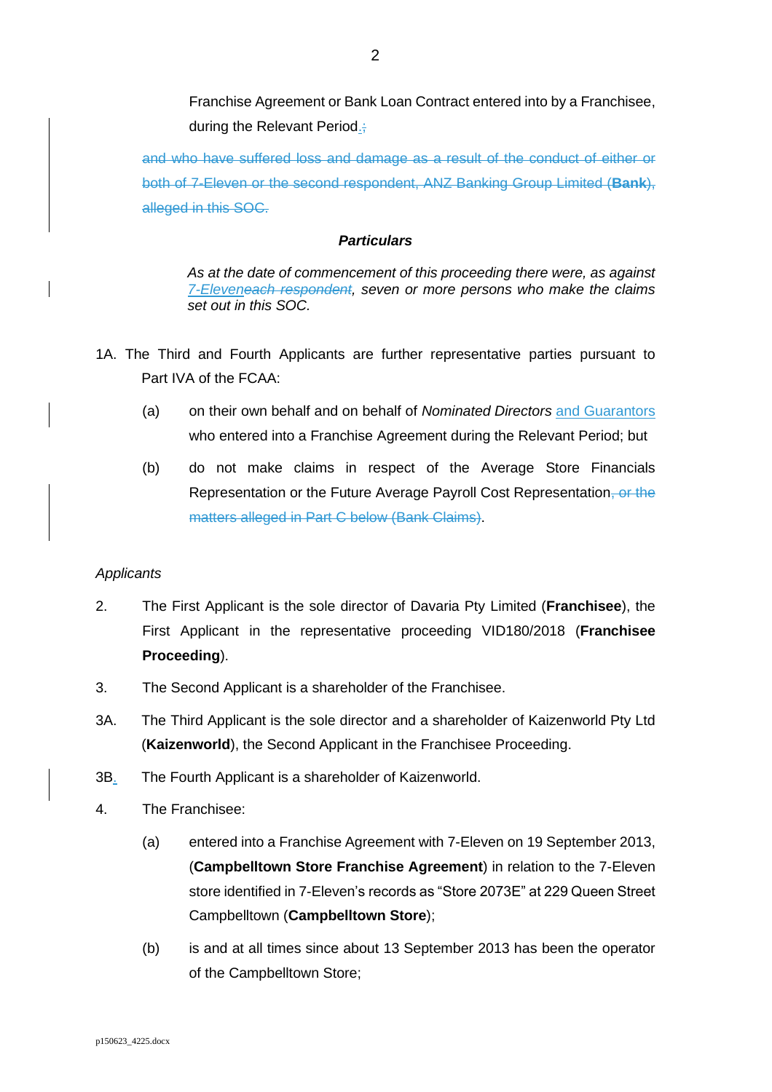Franchise Agreement or Bank Loan Contract entered into by a Franchisee, during the Relevant Period.;

and who have suffered loss and damage as a result of the conduct of either or both of 7-Eleven or the second respondent, ANZ Banking Group Limited (**Bank**), alleged in this SOC.

### *Particulars*

*As at the date of commencement of this proceeding there were, as against 7-Eleveneach respondent, seven or more persons who make the claims set out in this SOC.*

- 1A. The Third and Fourth Applicants are further representative parties pursuant to Part IVA of the FCAA:
	- (a) on their own behalf and on behalf of *Nominated Directors* and Guarantors who entered into a Franchise Agreement during the Relevant Period; but
	- (b) do not make claims in respect of the Average Store Financials Representation or the Future Average Payroll Cost Representation, or the matters alleged in Part C below (Bank Claims).

### *Applicants*

- 2. The First Applicant is the sole director of Davaria Pty Limited (**Franchisee**), the First Applicant in the representative proceeding VID180/2018 (**Franchisee Proceeding**).
- 3. The Second Applicant is a shareholder of the Franchisee.
- 3A. The Third Applicant is the sole director and a shareholder of Kaizenworld Pty Ltd (**Kaizenworld**), the Second Applicant in the Franchisee Proceeding.
- 3B. The Fourth Applicant is a shareholder of Kaizenworld.
- 4. The Franchisee:
	- (a) entered into a Franchise Agreement with 7-Eleven on 19 September 2013, (**Campbelltown Store Franchise Agreement**) in relation to the 7-Eleven store identified in 7-Eleven's records as "Store 2073E" at 229 Queen Street Campbelltown (**Campbelltown Store**);
	- (b) is and at all times since about 13 September 2013 has been the operator of the Campbelltown Store;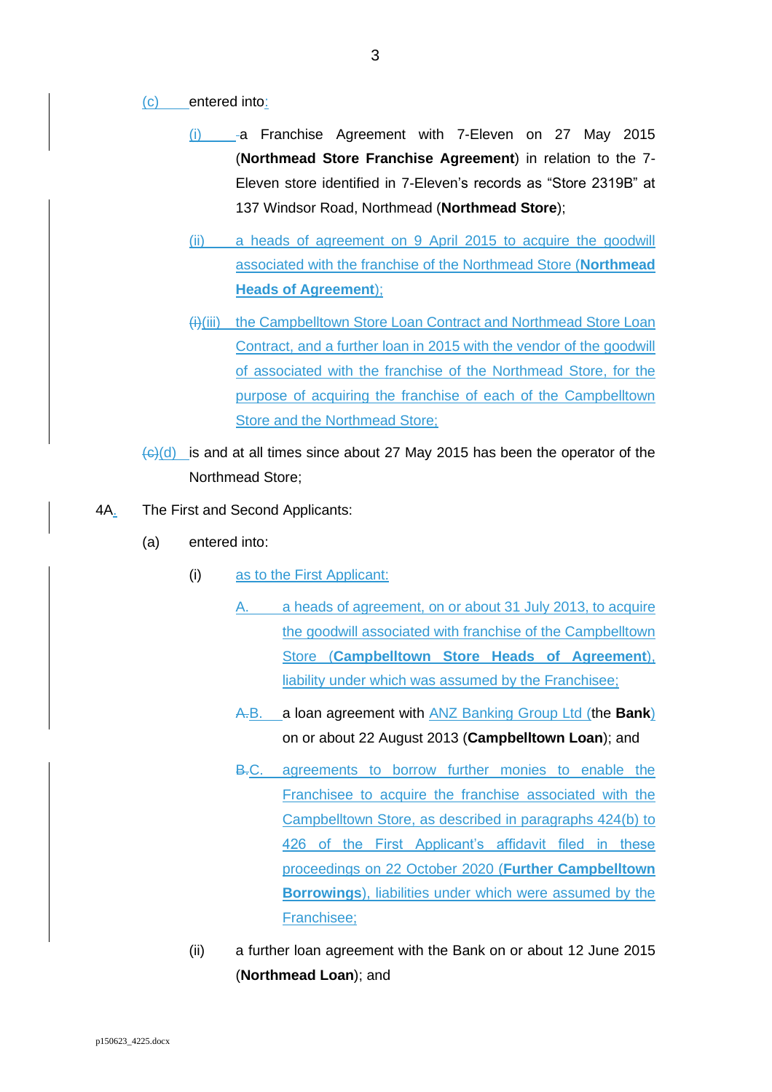#### (c) entered into:

- (i) a Franchise Agreement with 7-Eleven on 27 May 2015 (**Northmead Store Franchise Agreement**) in relation to the 7- Eleven store identified in 7-Eleven's records as "Store 2319B" at 137 Windsor Road, Northmead (**Northmead Store**);
- (ii) a heads of agreement on 9 April 2015 to acquire the goodwill associated with the franchise of the Northmead Store (**Northmead Heads of Agreement**);
- (i)(iii) the Campbelltown Store Loan Contract and Northmead Store Loan Contract, and a further loan in 2015 with the vendor of the goodwill of associated with the franchise of the Northmead Store, for the purpose of acquiring the franchise of each of the Campbelltown Store and the Northmead Store;
- $\frac{1}{(c)(d)}$  is and at all times since about 27 May 2015 has been the operator of the Northmead Store;
- 4A. The First and Second Applicants:
	- (a) entered into:
		- (i) as to the First Applicant:
			- A. a heads of agreement, on or about 31 July 2013, to acquire the goodwill associated with franchise of the Campbelltown Store (**Campbelltown Store Heads of Agreement**), liability under which was assumed by the Franchisee;
			- A.B. a loan agreement with ANZ Banking Group Ltd (the **Bank**) on or about 22 August 2013 (**Campbelltown Loan**); and
			- B.C. agreements to borrow further monies to enable the Franchisee to acquire the franchise associated with the Campbelltown Store, as described in paragraphs 424(b) to 426 of the First Applicant's affidavit filed in these proceedings on 22 October 2020 (**Further Campbelltown Borrowings**), liabilities under which were assumed by the Franchisee;
		- (ii) a further loan agreement with the Bank on or about 12 June 2015 (**Northmead Loan**); and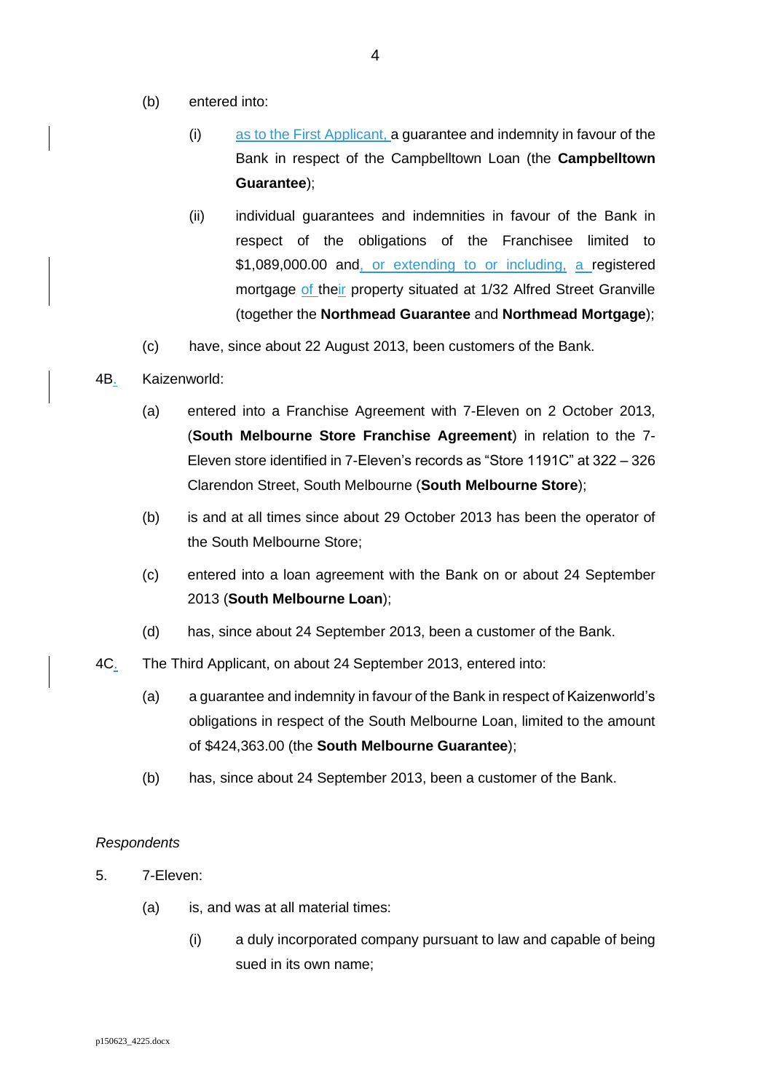- (b) entered into:
	- (i) as to the First Applicant, a guarantee and indemnity in favour of the Bank in respect of the Campbelltown Loan (the **Campbelltown Guarantee**);
	- (ii) individual guarantees and indemnities in favour of the Bank in respect of the obligations of the Franchisee limited to \$1,089,000.00 and, or extending to or including, a registered mortgage of their property situated at 1/32 Alfred Street Granville (together the **Northmead Guarantee** and **Northmead Mortgage**);
- (c) have, since about 22 August 2013, been customers of the Bank.

### 4B. Kaizenworld:

- (a) entered into a Franchise Agreement with 7-Eleven on 2 October 2013, (**South Melbourne Store Franchise Agreement**) in relation to the 7- Eleven store identified in 7-Eleven's records as "Store 1191C" at 322 – 326 Clarendon Street, South Melbourne (**South Melbourne Store**);
- (b) is and at all times since about 29 October 2013 has been the operator of the South Melbourne Store;
- (c) entered into a loan agreement with the Bank on or about 24 September 2013 (**South Melbourne Loan**);
- (d) has, since about 24 September 2013, been a customer of the Bank.
- 4C. The Third Applicant, on about 24 September 2013, entered into:
	- (a) a guarantee and indemnity in favour of the Bank in respect of Kaizenworld's obligations in respect of the South Melbourne Loan, limited to the amount of \$424,363.00 (the **South Melbourne Guarantee**);
	- (b) has, since about 24 September 2013, been a customer of the Bank.

### *Respondents*

- 5. 7-Eleven:
	- (a) is, and was at all material times:
		- (i) a duly incorporated company pursuant to law and capable of being sued in its own name;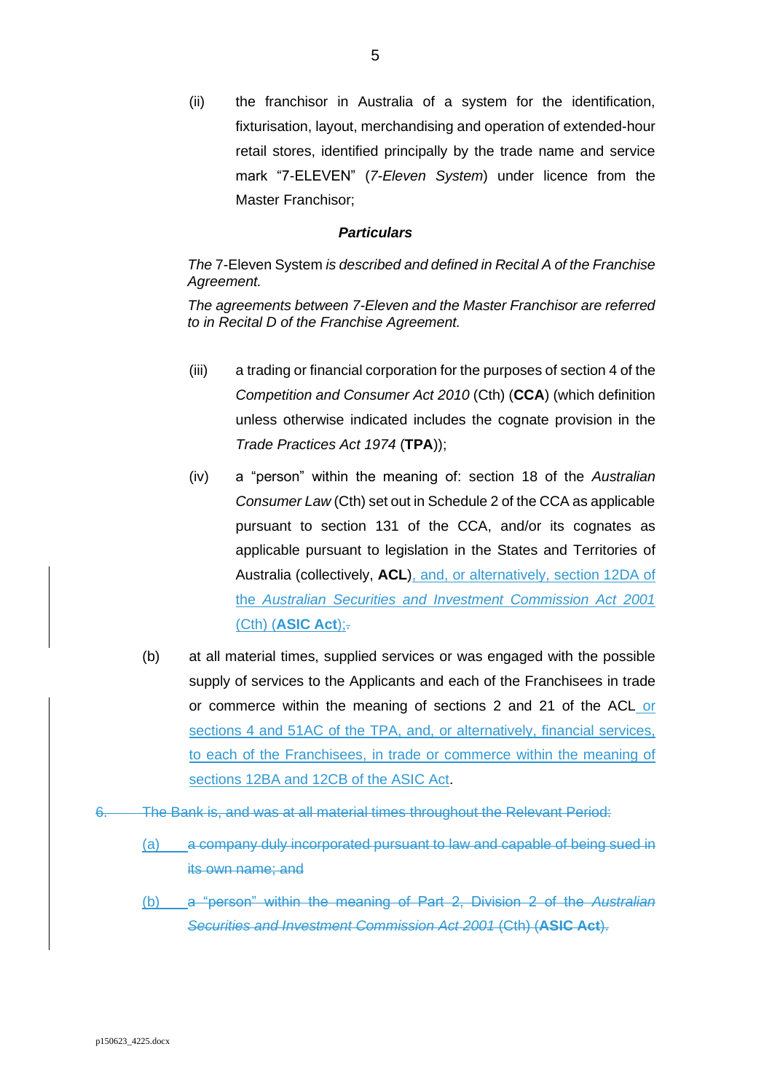(ii) the franchisor in Australia of a system for the identification, fixturisation, layout, merchandising and operation of extended-hour retail stores, identified principally by the trade name and service mark "7-ELEVEN" (*7-Eleven System*) under licence from the Master Franchisor;

#### *Particulars*

### *The* 7-Eleven System *is described and defined in Recital A of the Franchise Agreement.*

*The agreements between 7-Eleven and the Master Franchisor are referred to in Recital D of the Franchise Agreement.*

- (iii) a trading or financial corporation for the purposes of section 4 of the *Competition and Consumer Act 2010* (Cth) (**CCA**) (which definition unless otherwise indicated includes the cognate provision in the *Trade Practices Act 1974* (**TPA**));
- (iv) a "person" within the meaning of: section 18 of the *Australian Consumer Law* (Cth) set out in Schedule 2 of the CCA as applicable pursuant to section 131 of the CCA, and/or its cognates as applicable pursuant to legislation in the States and Territories of Australia (collectively, **ACL**), and, or alternatively, section 12DA of the *Australian Securities and Investment Commission Act 2001* (Cth) (**ASIC Act**);.
- (b) at all material times, supplied services or was engaged with the possible supply of services to the Applicants and each of the Franchisees in trade or commerce within the meaning of sections 2 and 21 of the ACL or sections 4 and 51AC of the TPA, and, or alternatively, financial services, to each of the Franchisees, in trade or commerce within the meaning of sections 12BA and 12CB of the ASIC Act.
- The Bank is, and was at all material times throughout the Relevant Period:
	- (a) a company duly incorporated pursuant to law and capable of being sued in its own name; and
	- (b) a "person" within the meaning of Part 2, Division 2 of the *Australian Securities and Investment Commission Act 2001* (Cth) (**ASIC Act**).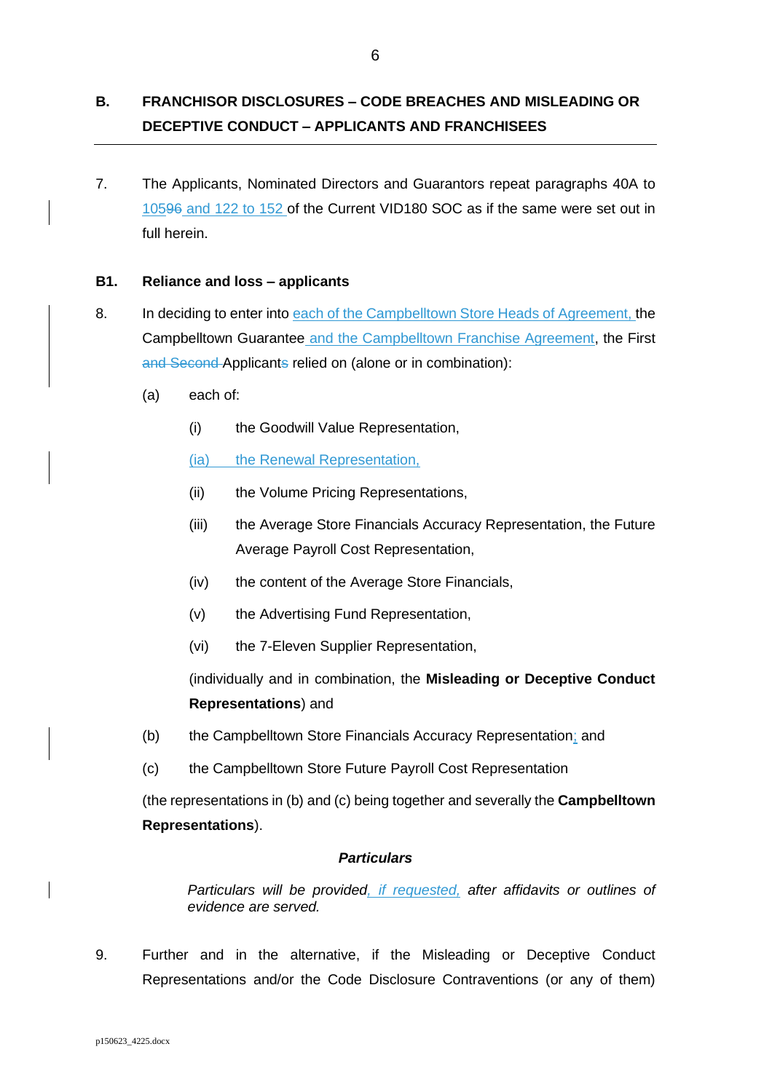# **B. FRANCHISOR DISCLOSURES – CODE BREACHES AND MISLEADING OR DECEPTIVE CONDUCT – APPLICANTS AND FRANCHISEES**

7. The Applicants, Nominated Directors and Guarantors repeat paragraphs 40A to 10596 and 122 to 152 of the Current VID180 SOC as if the same were set out in full herein.

### **B1. Reliance and loss – applicants**

- 8. In deciding to enter into each of the Campbelltown Store Heads of Agreement, the Campbelltown Guarantee and the Campbelltown Franchise Agreement, the First and Second Applicants relied on (alone or in combination):
	- (a) each of:
		- (i) the Goodwill Value Representation,

(ia) the Renewal Representation,

- (ii) the Volume Pricing Representations,
- (iii) the Average Store Financials Accuracy Representation, the Future Average Payroll Cost Representation,
- (iv) the content of the Average Store Financials,
- (v) the Advertising Fund Representation,
- (vi) the 7-Eleven Supplier Representation,

(individually and in combination, the **Misleading or Deceptive Conduct Representations**) and

- <span id="page-6-0"></span>(b) the Campbelltown Store Financials Accuracy Representation; and
- <span id="page-6-1"></span>(c) the Campbelltown Store Future Payroll Cost Representation

(the representations i[n \(b\)](#page-6-0) and [\(c\)](#page-6-1) being together and severally the **Campbelltown Representations**).

## *Particulars*

*Particulars will be provided, if requested, after affidavits or outlines of evidence are served.*

9. Further and in the alternative, if the Misleading or Deceptive Conduct Representations and/or the Code Disclosure Contraventions (or any of them)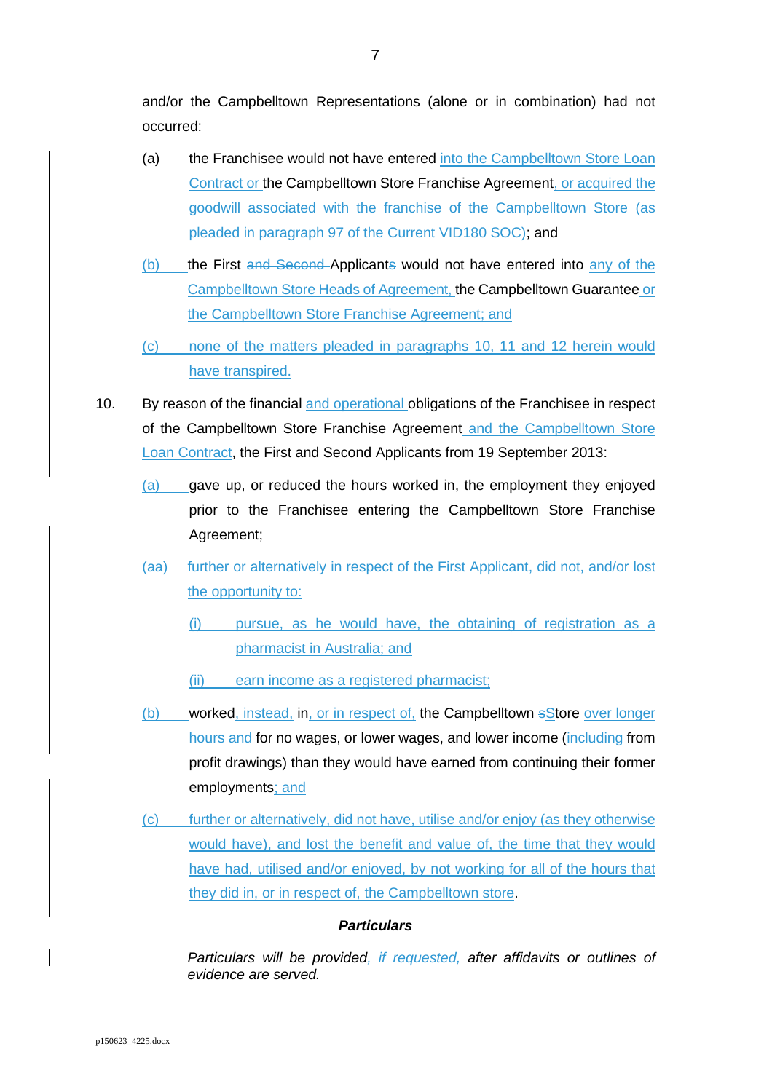and/or the Campbelltown Representations (alone or in combination) had not occurred:

- (a) the Franchisee would not have entered into the Campbelltown Store Loan Contract or the Campbelltown Store Franchise Agreement, or acquired the goodwill associated with the franchise of the Campbelltown Store (as pleaded in paragraph 97 of the Current VID180 SOC); and
- (b) the First and Second Applicants would not have entered into any of the Campbelltown Store Heads of Agreement, the Campbelltown Guarantee or the Campbelltown Store Franchise Agreement; and
- <span id="page-7-0"></span>(c) none of the matters pleaded in paragraphs 10, 11 and 12 herein would have transpired.
- 10. By reason of the financial and operational obligations of the Franchisee in respect of the Campbelltown Store Franchise Agreement and the Campbelltown Store Loan Contract, the First and Second Applicants from 19 September 2013:
	- (a) gave up, or reduced the hours worked in, the employment they enjoyed prior to the Franchisee entering the Campbelltown Store Franchise Agreement;
	- (aa) further or alternatively in respect of the First Applicant, did not, and/or lost the opportunity to:
		- (i) pursue, as he would have, the obtaining of registration as a pharmacist in Australia; and
		- (ii) earn income as a registered pharmacist;
	- (b) worked, instead, in, or in respect of, the Campbelltown sStore over longer hours and for no wages, or lower wages, and lower income (including from profit drawings) than they would have earned from continuing their former employments; and
	- (c) further or alternatively, did not have, utilise and/or enjoy (as they otherwise would have), and lost the benefit and value of, the time that they would have had, utilised and/or enjoyed, by not working for all of the hours that they did in, or in respect of, the Campbelltown store.

## *Particulars*

*Particulars will be provided, if requested, after affidavits or outlines of evidence are served.*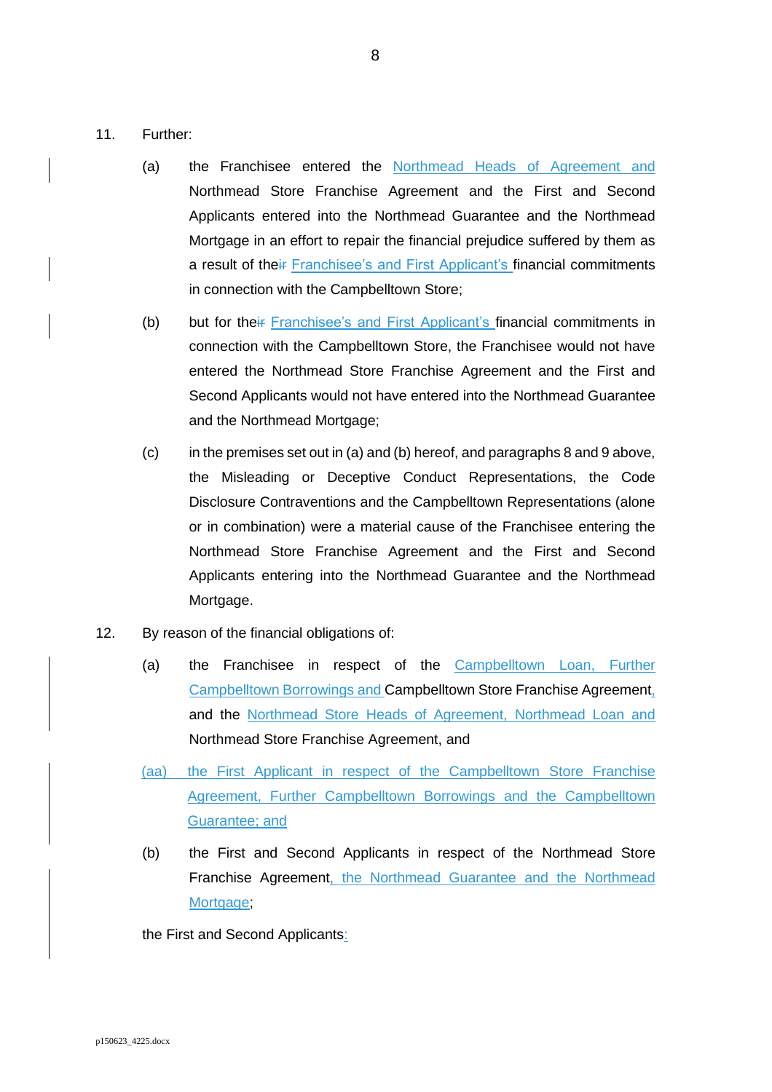- <span id="page-8-1"></span><span id="page-8-0"></span>11. Further:
	- (a) the Franchisee entered the Northmead Heads of Agreement and Northmead Store Franchise Agreement and the First and Second Applicants entered into the Northmead Guarantee and the Northmead Mortgage in an effort to repair the financial prejudice suffered by them as a result of their Franchisee's and First Applicant's financial commitments in connection with the Campbelltown Store;
	- (b) but for their Franchisee's and First Applicant's financial commitments in connection with the Campbelltown Store, the Franchisee would not have entered the Northmead Store Franchise Agreement and the First and Second Applicants would not have entered into the Northmead Guarantee and the Northmead Mortgage;
	- (c) in the premises set out in [\(a\)](#page-8-0) an[d \(b\)](#page-8-1) hereof, and paragraphs 8 and 9 above, the Misleading or Deceptive Conduct Representations, the Code Disclosure Contraventions and the Campbelltown Representations (alone or in combination) were a material cause of the Franchisee entering the Northmead Store Franchise Agreement and the First and Second Applicants entering into the Northmead Guarantee and the Northmead Mortgage.
- <span id="page-8-2"></span>12. By reason of the financial obligations of:
	- (a) the Franchisee in respect of the Campbelltown Loan, Further Campbelltown Borrowings and Campbelltown Store Franchise Agreement, and the Northmead Store Heads of Agreement, Northmead Loan and Northmead Store Franchise Agreement, and
	- (aa) the First Applicant in respect of the Campbelltown Store Franchise Agreement, Further Campbelltown Borrowings and the Campbelltown Guarantee; and
	- (b) the First and Second Applicants in respect of the Northmead Store Franchise Agreement, the Northmead Guarantee and the Northmead Mortgage;

the First and Second Applicants: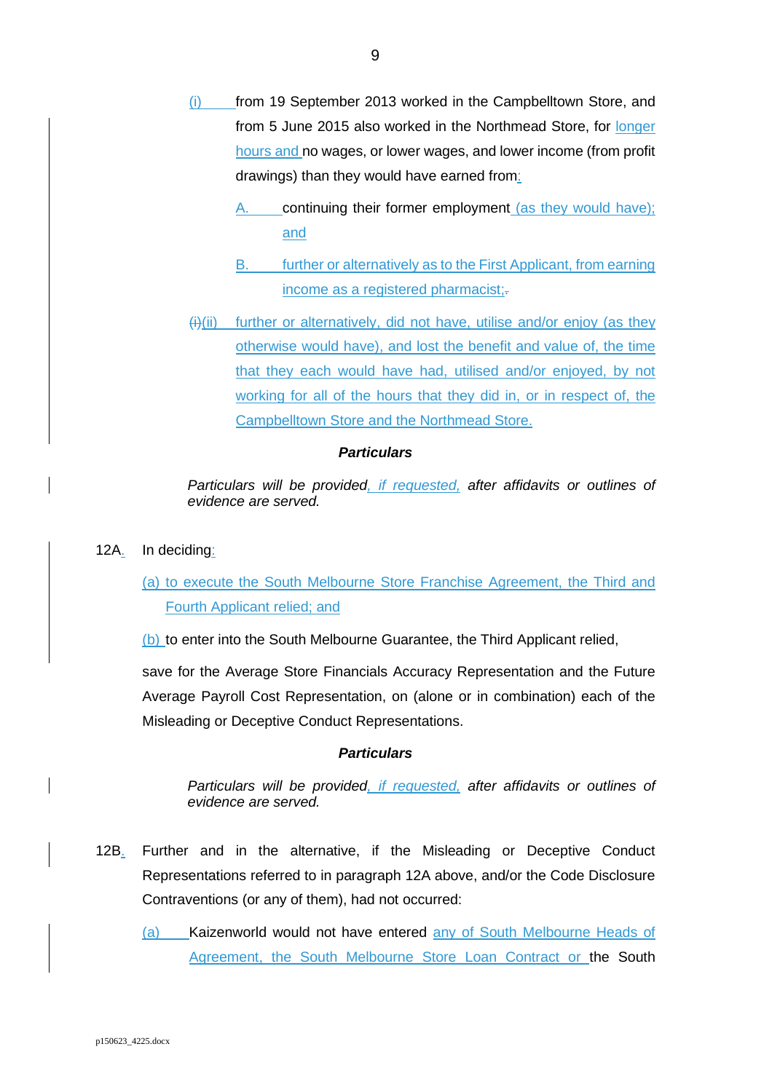- (i) from 19 September 2013 worked in the Campbelltown Store, and from 5 June 2015 also worked in the Northmead Store, for longer hours and no wages, or lower wages, and lower income (from profit drawings) than they would have earned from:
	- continuing their former employment (as they would have); and
	- B. further or alternatively as to the First Applicant, from earning income as a registered pharmacist;-
- $(H)(ii)$  further or alternatively, did not have, utilise and/or enjoy (as they otherwise would have), and lost the benefit and value of, the time that they each would have had, utilised and/or enjoyed, by not working for all of the hours that they did in, or in respect of, the Campbelltown Store and the Northmead Store.

*Particulars will be provided, if requested, after affidavits or outlines of evidence are served.* 

12A. In deciding:

# (a) to execute the South Melbourne Store Franchise Agreement, the Third and Fourth Applicant relied; and

(b) to enter into the South Melbourne Guarantee, the Third Applicant relied,

save for the Average Store Financials Accuracy Representation and the Future Average Payroll Cost Representation, on (alone or in combination) each of the Misleading or Deceptive Conduct Representations.

### *Particulars*

*Particulars will be provided, if requested, after affidavits or outlines of evidence are served.* 

- 12B. Further and in the alternative, if the Misleading or Deceptive Conduct Representations referred to in paragraph 12A above, and/or the Code Disclosure Contraventions (or any of them), had not occurred:
	- (a) Kaizenworld would not have entered any of South Melbourne Heads of Agreement, the South Melbourne Store Loan Contract or the South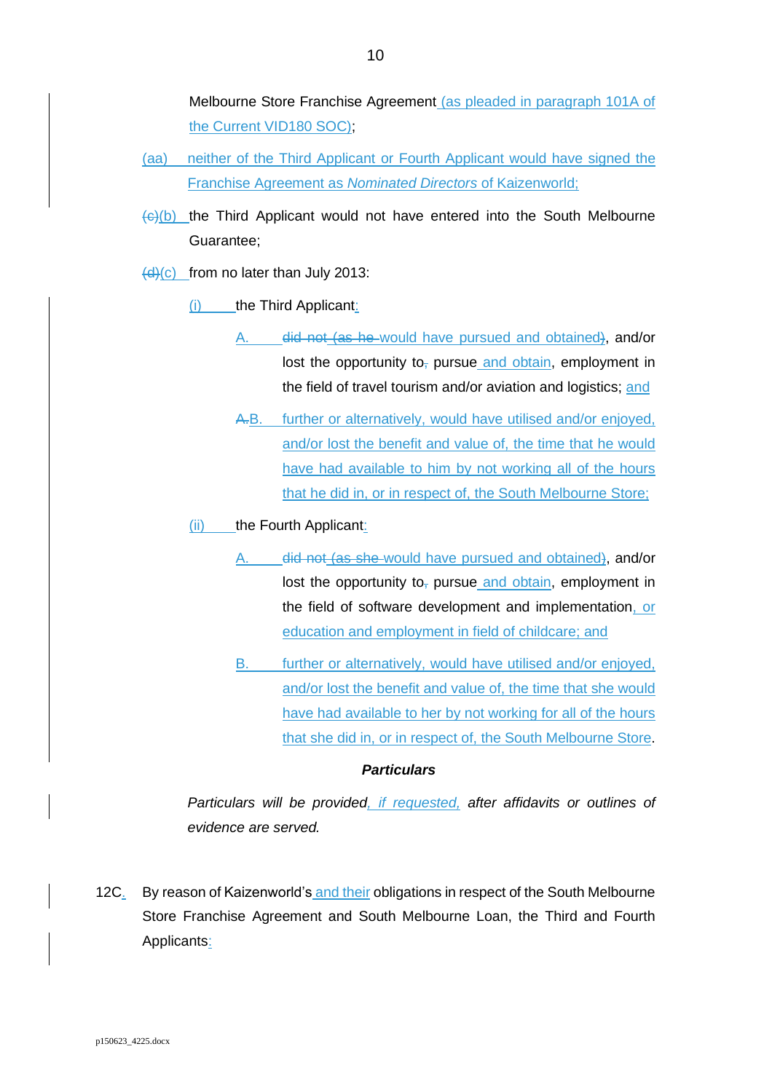Melbourne Store Franchise Agreement (as pleaded in paragraph 101A of the Current VID180 SOC);

- (aa) neither of the Third Applicant or Fourth Applicant would have signed the Franchise Agreement as *Nominated Directors* of Kaizenworld;
- $\frac{f(x)}{f(x)}$  the Third Applicant would not have entered into the South Melbourne Guarantee;

 $\frac{d(x)}{dx}$  from no later than July 2013:

- (i) the Third Applicant:
	- A. did not (as he would have pursued and obtained), and/or lost the opportunity to<sub> $<sub>1</sub>$ </sub> pursue and obtain, employment in</sub> the field of travel tourism and/or aviation and logistics; and
	- A.B. further or alternatively, would have utilised and/or enjoyed, and/or lost the benefit and value of, the time that he would have had available to him by not working all of the hours that he did in, or in respect of, the South Melbourne Store;

(ii) the Fourth Applicant:

- A. did not (as she would have pursued and obtained), and/or lost the opportunity to, pursue and obtain, employment in the field of software development and implementation, or education and employment in field of childcare; and
- B. further or alternatively, would have utilised and/or enjoyed, and/or lost the benefit and value of, the time that she would have had available to her by not working for all of the hours that she did in, or in respect of, the South Melbourne Store.

### *Particulars*

*Particulars will be provided, if requested, after affidavits or outlines of evidence are served.*

12C. By reason of Kaizenworld's and their obligations in respect of the South Melbourne Store Franchise Agreement and South Melbourne Loan, the Third and Fourth Applicants: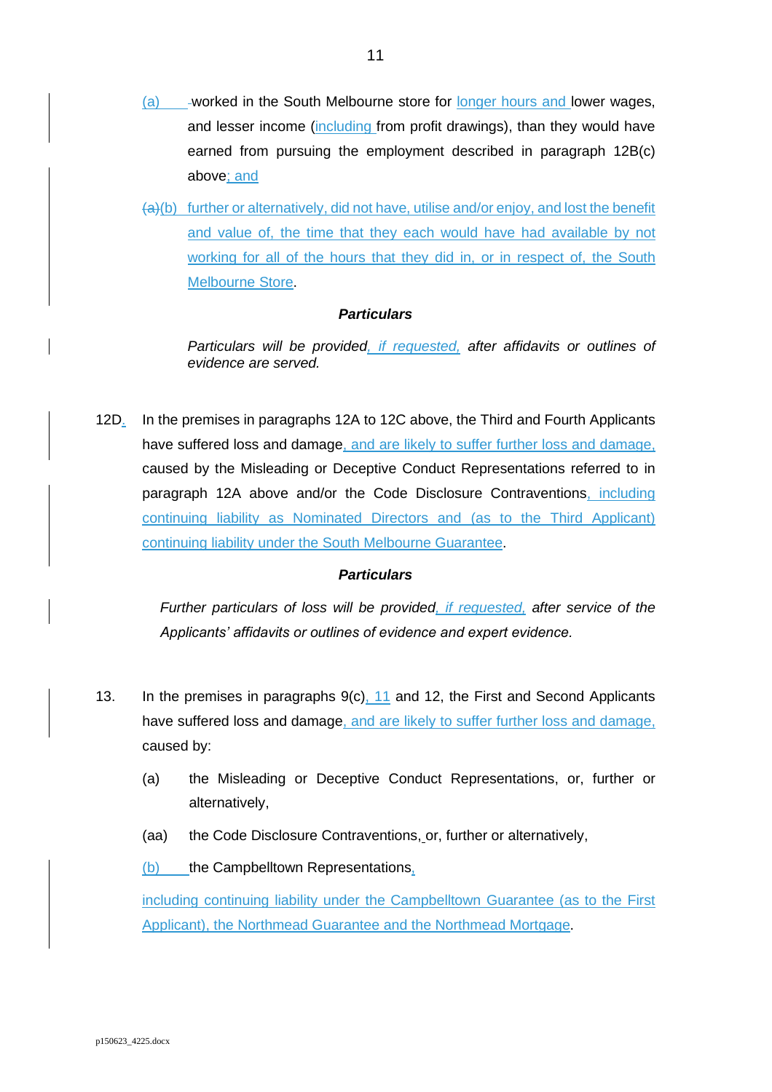- (a) \_\_\_-worked in the South Melbourne store for longer hours and lower wages, and lesser income (including from profit drawings), than they would have earned from pursuing the employment described in paragraph 12B(c) above; and
- (a)(b) further or alternatively, did not have, utilise and/or enjoy, and lost the benefit and value of, the time that they each would have had available by not working for all of the hours that they did in, or in respect of, the South Melbourne Store.

*Particulars will be provided, if requested, after affidavits or outlines of evidence are served.* 

12D. In the premises in paragraphs 12A to 12C above, the Third and Fourth Applicants have suffered loss and damage, and are likely to suffer further loss and damage, caused by the Misleading or Deceptive Conduct Representations referred to in paragraph 12A above and/or the Code Disclosure Contraventions, including continuing liability as Nominated Directors and (as to the Third Applicant) continuing liability under the South Melbourne Guarantee.

### *Particulars*

*Further particulars of loss will be provided, if requested, after service of the Applicants' affidavits or outlines of evidence and expert evidence.*

- 13. In the premises in paragraphs [9\(c\),](#page-7-0) 11 and [12,](#page-8-2) the First and Second Applicants have suffered loss and damage, and are likely to suffer further loss and damage, caused by:
	- (a) the Misleading or Deceptive Conduct Representations, or, further or alternatively,
	- (aa) the Code Disclosure Contraventions, or, further or alternatively,

 $(b)$  the Campbelltown Representations,

including continuing liability under the Campbelltown Guarantee (as to the First Applicant), the Northmead Guarantee and the Northmead Mortgage.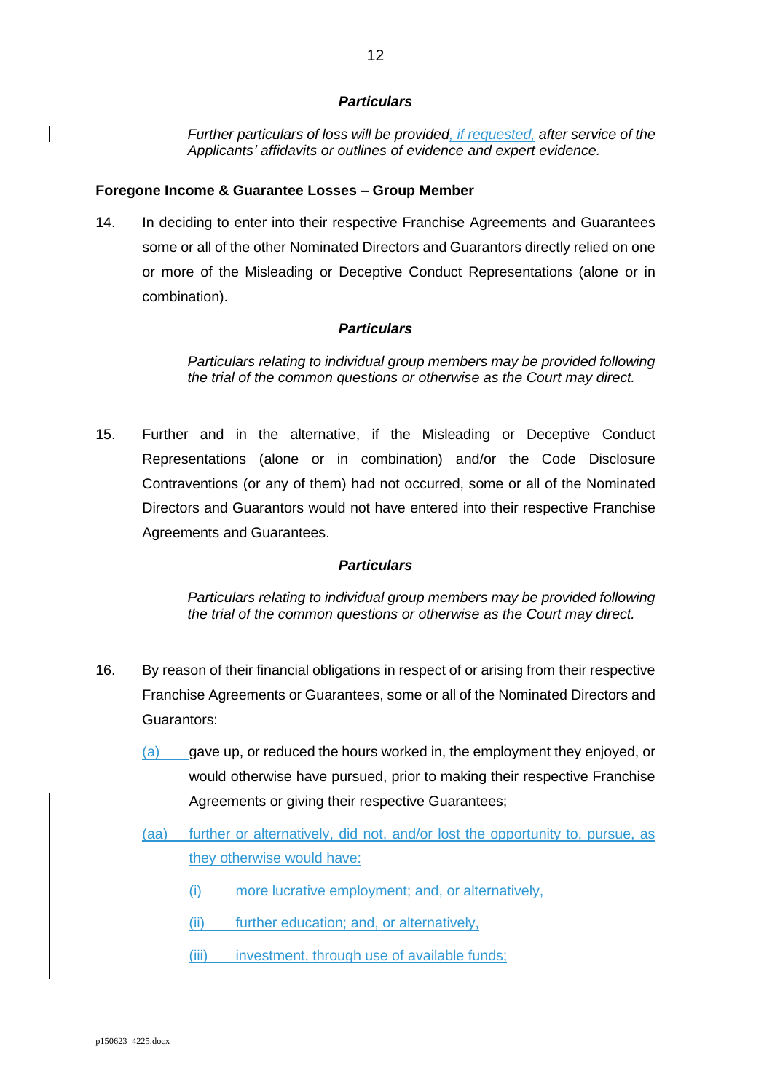*Further particulars of loss will be provided, if requested, after service of the Applicants' affidavits or outlines of evidence and expert evidence.* 

### **Foregone Income & Guarantee Losses – Group Member**

<span id="page-12-0"></span>14. In deciding to enter into their respective Franchise Agreements and Guarantees some or all of the other Nominated Directors and Guarantors directly relied on one or more of the Misleading or Deceptive Conduct Representations (alone or in combination).

### *Particulars*

*Particulars relating to individual group members may be provided following the trial of the common questions or otherwise as the Court may direct.* 

<span id="page-12-1"></span>15. Further and in the alternative, if the Misleading or Deceptive Conduct Representations (alone or in combination) and/or the Code Disclosure Contraventions (or any of them) had not occurred, some or all of the Nominated Directors and Guarantors would not have entered into their respective Franchise Agreements and Guarantees.

### *Particulars*

*Particulars relating to individual group members may be provided following the trial of the common questions or otherwise as the Court may direct.* 

- 16. By reason of their financial obligations in respect of or arising from their respective Franchise Agreements or Guarantees, some or all of the Nominated Directors and Guarantors:
	- (a) gave up, or reduced the hours worked in, the employment they enjoyed, or would otherwise have pursued, prior to making their respective Franchise Agreements or giving their respective Guarantees;
	- (aa) further or alternatively, did not, and/or lost the opportunity to, pursue, as they otherwise would have:
		- (i) more lucrative employment; and, or alternatively,
		- (ii) further education; and, or alternatively,
		- (iii) investment, through use of available funds;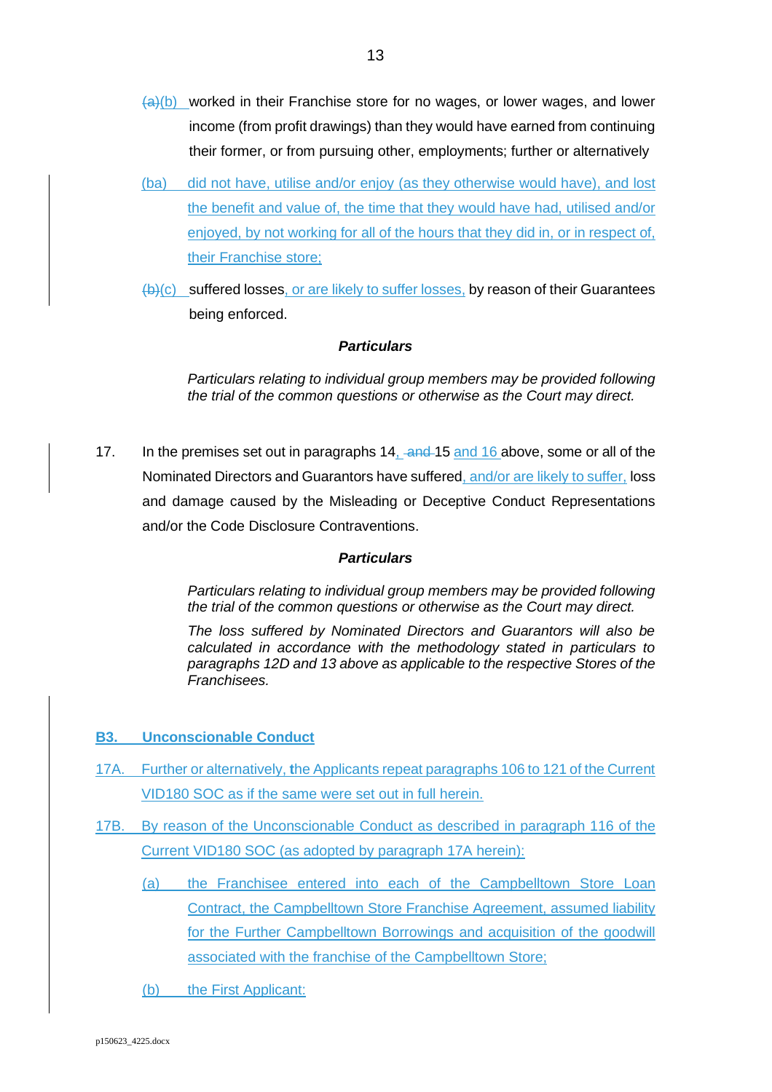- $(a)(b)$  worked in their Franchise store for no wages, or lower wages, and lower income (from profit drawings) than they would have earned from continuing their former, or from pursuing other, employments; further or alternatively
- (ba) did not have, utilise and/or enjoy (as they otherwise would have), and lost the benefit and value of, the time that they would have had, utilised and/or enjoyed, by not working for all of the hours that they did in, or in respect of, their Franchise store;
- (b)(c) suffered losses, or are likely to suffer losses, by reason of their Guarantees being enforced.

*Particulars relating to individual group members may be provided following the trial of the common questions or otherwise as the Court may direct.* 

17. In the premises set out in paragraphs [14,](#page-12-0) an[d 15](#page-12-1) and 16 above, some or all of the Nominated Directors and Guarantors have suffered, and/or are likely to suffer, loss and damage caused by the Misleading or Deceptive Conduct Representations and/or the Code Disclosure Contraventions.

### *Particulars*

*Particulars relating to individual group members may be provided following the trial of the common questions or otherwise as the Court may direct.* 

*The loss suffered by Nominated Directors and Guarantors will also be calculated in accordance with the methodology stated in particulars to paragraphs 12D and 13 above as applicable to the respective Stores of the Franchisees.* 

- **B3. Unconscionable Conduct**
- 17A. Further or alternatively, **t**he Applicants repeat paragraphs 106 to 121 of the Current VID180 SOC as if the same were set out in full herein.
- 17B. By reason of the Unconscionable Conduct as described in paragraph 116 of the Current VID180 SOC (as adopted by paragraph 17A herein):
	- (a) the Franchisee entered into each of the Campbelltown Store Loan Contract, the Campbelltown Store Franchise Agreement, assumed liability for the Further Campbelltown Borrowings and acquisition of the goodwill associated with the franchise of the Campbelltown Store;
	- (b) the First Applicant: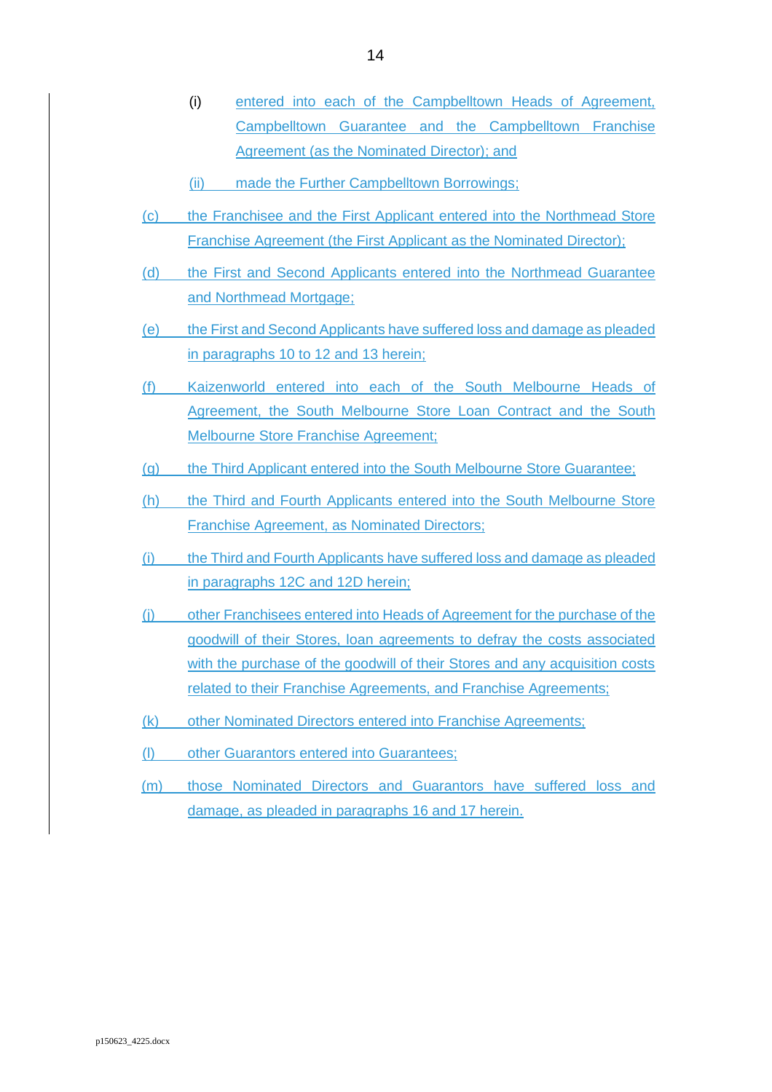- (i) entered into each of the Campbelltown Heads of Agreement, Campbelltown Guarantee and the Campbelltown Franchise Agreement (as the Nominated Director); and
- (ii) made the Further Campbelltown Borrowings;
- (c) the Franchisee and the First Applicant entered into the Northmead Store Franchise Agreement (the First Applicant as the Nominated Director);
- (d) the First and Second Applicants entered into the Northmead Guarantee and Northmead Mortgage;
- (e) the First and Second Applicants have suffered loss and damage as pleaded in paragraphs 10 to 12 and 13 herein;
- (f) Kaizenworld entered into each of the South Melbourne Heads of Agreement, the South Melbourne Store Loan Contract and the South Melbourne Store Franchise Agreement;
- (g) the Third Applicant entered into the South Melbourne Store Guarantee;
- (h) the Third and Fourth Applicants entered into the South Melbourne Store Franchise Agreement, as Nominated Directors;
- (i) the Third and Fourth Applicants have suffered loss and damage as pleaded in paragraphs 12C and 12D herein;
- (j) other Franchisees entered into Heads of Agreement for the purchase of the goodwill of their Stores, loan agreements to defray the costs associated with the purchase of the goodwill of their Stores and any acquisition costs related to their Franchise Agreements, and Franchise Agreements;
- (k) other Nominated Directors entered into Franchise Agreements;
- (l) other Guarantors entered into Guarantees;
- (m) those Nominated Directors and Guarantors have suffered loss and damage, as pleaded in paragraphs 16 and 17 herein.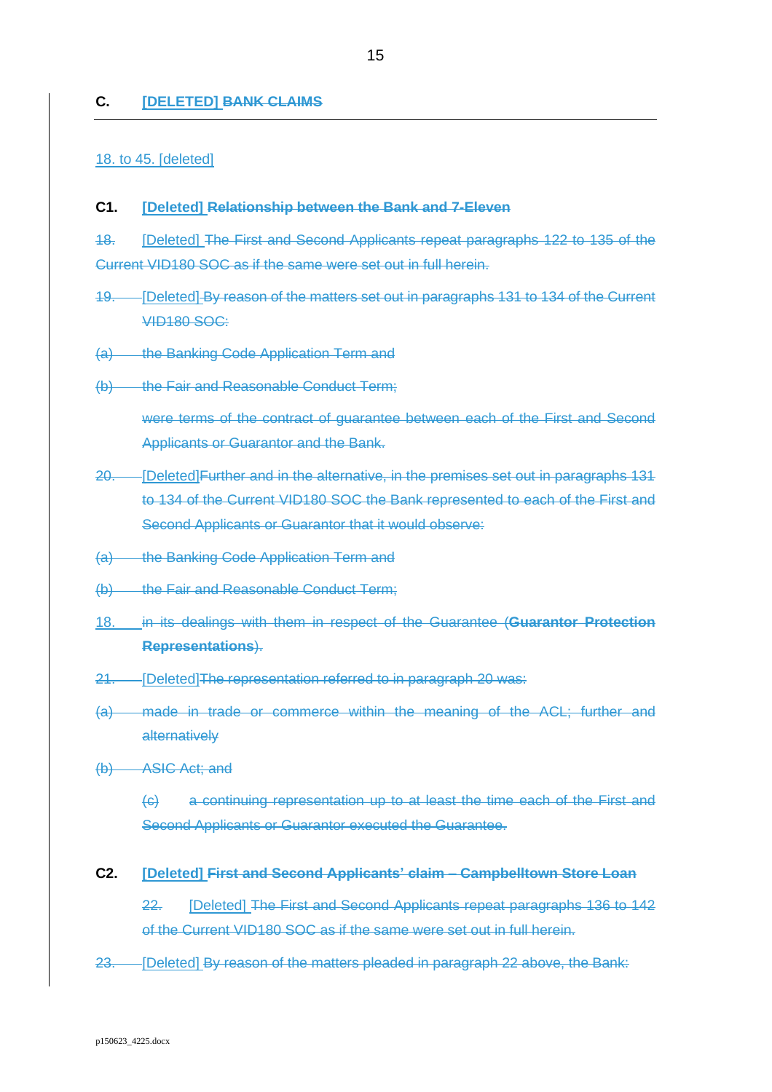#### **C. [DELETED] BANK CLAIMS**

#### 18. to 45. [deleted]

#### **C1. [Deleted] Relationship between the Bank and 7-Eleven**

18. [Deleted] The First and Second Applicants repeat paragraphs 122 to 135 of the Current VID180 SOC as if the same were set out in full herein.

- <span id="page-15-2"></span>19. [Deleted] By reason of the matters set out in paragraphs 131 to 134 of the Current **VID180 SOC:**
- (a) the Banking Code Application Term and
- (b) the Fair and Reasonable Conduct Term;

were terms of the contract of guarantee between each of the First and Second Applicants or Guarantor and the Bank.

- <span id="page-15-0"></span>20. [Deleted]Further and in the alternative, in the premises set out in paragraphs 131 to 134 of the Current VID180 SOC the Bank represented to each of the First and Second Applicants or Guarantor that it would observe:
- (a) the Banking Code Application Term and
- (b) the Fair and Reasonable Conduct Term;
- 18. in its dealings with them in respect of the Guarantee (**Guarantor Protection Representations**).
- 21. [Deleted]The representation referred to in paragraph [20](#page-15-0) was:
- (a) made in trade or commerce within the meaning of the ACL; further and alternatively
- (b) ASIC Act; and

(c) a continuing representation up to at least the time each of the First and Second Applicants or Guarantor executed the Guarantee.

<span id="page-15-1"></span>**C2. [Deleted] First and Second Applicants' claim – Campbelltown Store Loan** 

22. [Deleted] The First and Second Applicants repeat paragraphs 136 to 142 of the Current VID180 SOC as if the same were set out in full herein.

<span id="page-15-3"></span>23. [Deleted] By reason of the matters pleaded in paragraph [22](#page-15-1) above, the Bank: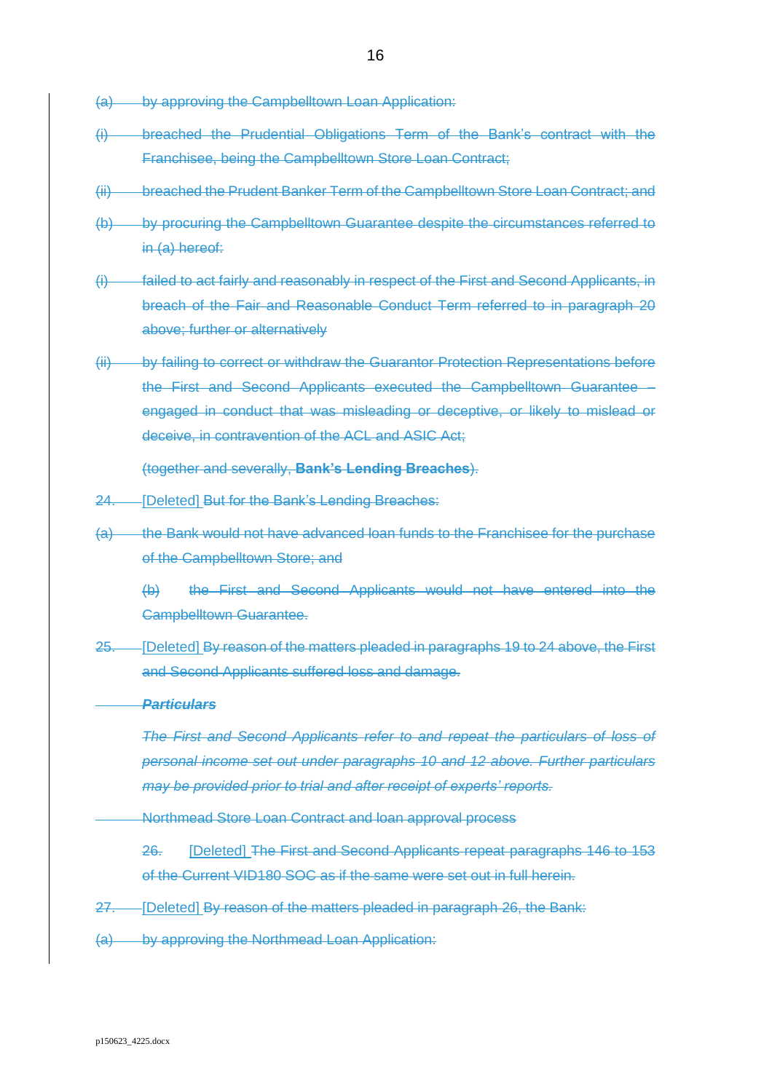- <span id="page-16-0"></span>(a) by approving the Campbelltown Loan Application:
- (i) breached the Prudential Obligations Term of the Bank's contract with the Franchisee, being the Campbelltown Store Loan Contract;
- (ii) breached the Prudent Banker Term of the Campbelltown Store Loan Contract; and
- (b) by procuring the Campbelltown Guarantee despite the circumstances referred to in [\(a\)](#page-16-0) hereof:
- (i) failed to act fairly and reasonably in respect of the First and Second Applicants, in breach of the Fair and Reasonable Conduct Term referred to in paragraph [20](#page-15-0) above; further or alternatively
- (ii) by failing to correct or withdraw the Guarantor Protection Representations before the First and Second Applicants executed the Campbelltown Guarantee – engaged in conduct that was misleading or deceptive, or likely to mislead or deceive, in contravention of the ACL and ASIC Act;

(together and severally, **Bank's Lending Breaches**).

- <span id="page-16-1"></span>24. [Deleted] But for the Bank's Lending Breaches:
- (a) the Bank would not have advanced loan funds to the Franchisee for the purchase of the Campbelltown Store; and
	- (b) the First and Second Applicants would not have entered into the Campbelltown Guarantee.
- <span id="page-16-5"></span>25. [Deleted] By reason of the matters pleaded in paragraphs [19](#page-15-2) to [24](#page-16-1) above, the First and Second Applicants suffered loss and damage.

### *Particulars*

*The First and Second Applicants refer to and repeat the particulars of loss of personal income set out under paragraphs [10](#page-7-0) and [12](#page-8-2) above. Further particulars may be provided prior to trial and after receipt of experts' reports.* 

<span id="page-16-2"></span>Northmead Store Loan Contract and loan approval process

26. [Deleted] The First and Second Applicants repeat paragraphs 146 to 153 of the Current VID180 SOC as if the same were set out in full herein.

- <span id="page-16-4"></span>27. [Deleted] By reason of the matters pleaded in paragraph [26,](#page-16-2) the Bank:
- <span id="page-16-3"></span>(a) by approving the Northmead Loan Application: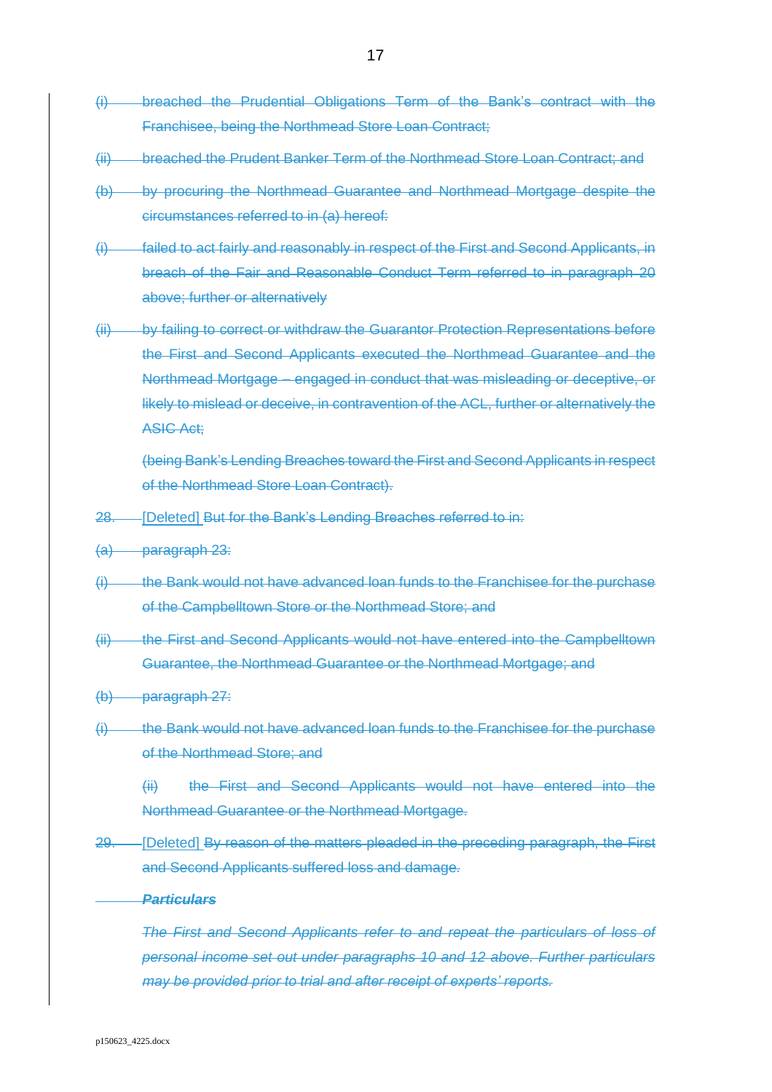- (i) breached the Prudential Obligations Term of the Bank's contract with the Franchisee, being the Northmead Store Loan Contract;
- (ii) breached the Prudent Banker Term of the Northmead Store Loan Contract; and
- (b) by procuring the Northmead Guarantee and Northmead Mortgage despite the circumstances referred to in [\(a\)](#page-16-3) hereof:
- (i) failed to act fairly and reasonably in respect of the First and Second Applicants, in breach of the Fair and Reasonable Conduct Term referred to in paragraph [20](#page-15-0) above; further or alternatively
- (ii) by failing to correct or withdraw the Guarantor Protection Representations before the First and Second Applicants executed the Northmead Guarantee and the Northmead Mortgage – engaged in conduct that was misleading or deceptive, or likely to mislead or deceive, in contravention of the ACL, further or alternatively the ASIC Act;

(being Bank's Lending Breaches toward the First and Second Applicants in respect of the Northmead Store Loan Contract).

- 28. [Deleted] But for the Bank's Lending Breaches referred to in:
- (a) paragraph [23:](#page-15-3)
- (i) the Bank would not have advanced loan funds to the Franchisee for the purchase of the Campbelltown Store or the Northmead Store; and
- (ii) the First and Second Applicants would not have entered into the Campbelltown Guarantee, the Northmead Guarantee or the Northmead Mortgage; and
- (b) paragraph [27:](#page-16-4)
- $(i)$  the Bank would not have advanced loan funds to the Franchisee for the purchase of the Northmead Store; and

(ii) the First and Second Applicants would not have entered into the Northmead Guarantee or the Northmead Mortgage.

29. [Deleted] By reason of the matters pleaded in the preceding paragraph, the First and Second Applicants suffered loss and damage.

#### *Particulars*

*The First and Second Applicants refer to and repeat the particulars of loss of personal income set out under paragraphs 10 and 12 above. Further particulars may be provided prior to trial and after receipt of experts' reports.*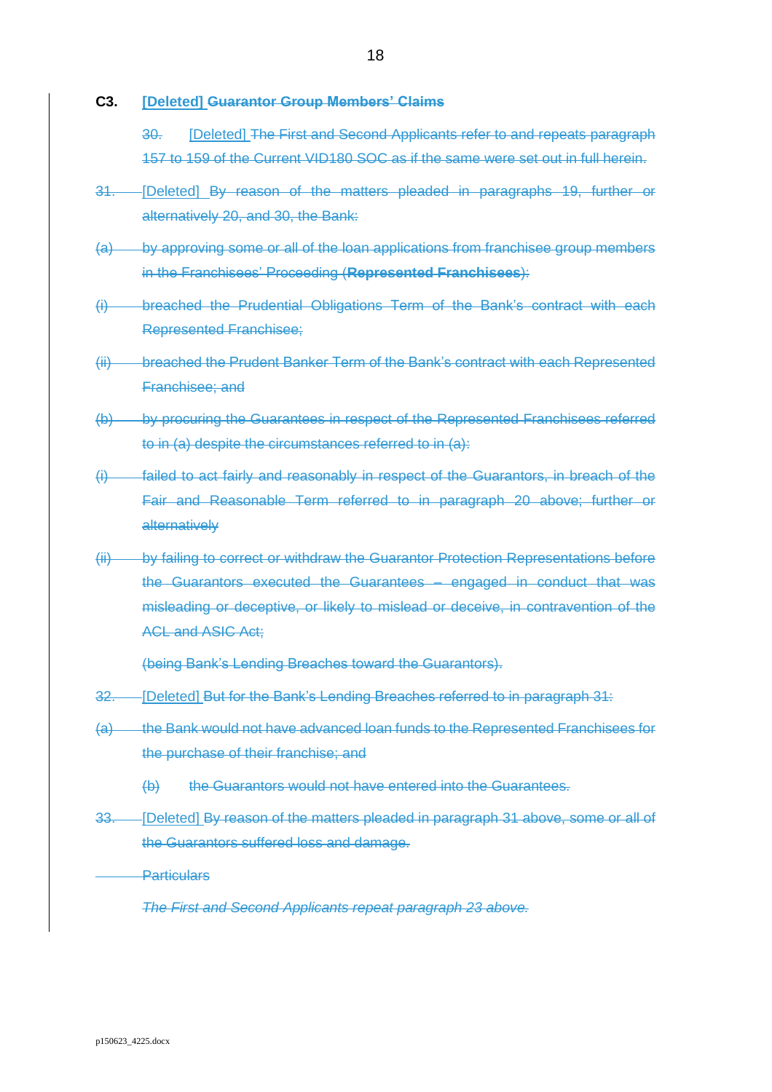<span id="page-18-0"></span>**C3. [Deleted] Guarantor Group Members' Claims**

30. [Deleted] The First and Second Applicants refer to and repeats paragraph 157 to 159 of the Current VID180 SOC as if the same were set out in full herein.

- <span id="page-18-1"></span>31. [Deleted] By reason of the matters pleaded in paragraphs [19,](#page-15-2) further or alternatively [20,](#page-15-0) and [30,](#page-18-0) the Bank:
- (a) by approving some or all of the loan applications from franchisee group members in the Franchisees' Proceeding (**Represented Franchisees**):
- (i) breached the Prudential Obligations Term of the Bank's contract with each Represented Franchisee;
- (ii) breached the Prudent Banker Term of the Bank's contract with each Represented Franchisee; and
- (b) by procuring the Guarantees in respect of the Represented Franchisees referred to in (a) despite the circumstances referred to in (a):
- (i) failed to act fairly and reasonably in respect of the Guarantors, in breach of the Fair and Reasonable Term referred to in paragraph [20](#page-15-0) above; further or alternatively
- (ii) by failing to correct or withdraw the Guarantor Protection Representations before the Guarantors executed the Guarantees – engaged in conduct that was misleading or deceptive, or likely to mislead or deceive, in contravention of the ACL and ASIC Act;

(being Bank's Lending Breaches toward the Guarantors).

- 32. [Deleted] But for the Bank's Lending Breaches referred to in paragraph [31:](#page-18-1)
- (a) the Bank would not have advanced loan funds to the Represented Franchisees for the purchase of their franchise; and
	- (b) the Guarantors would not have entered into the Guarantees.
- <span id="page-18-2"></span>33. [Deleted] By reason of the matters pleaded in paragraph [31](#page-18-1) above, some or all of the Guarantors suffered loss and damage.

**Particulars** 

*The First and Second Applicants repeat paragraph [23](#page-15-3) above.*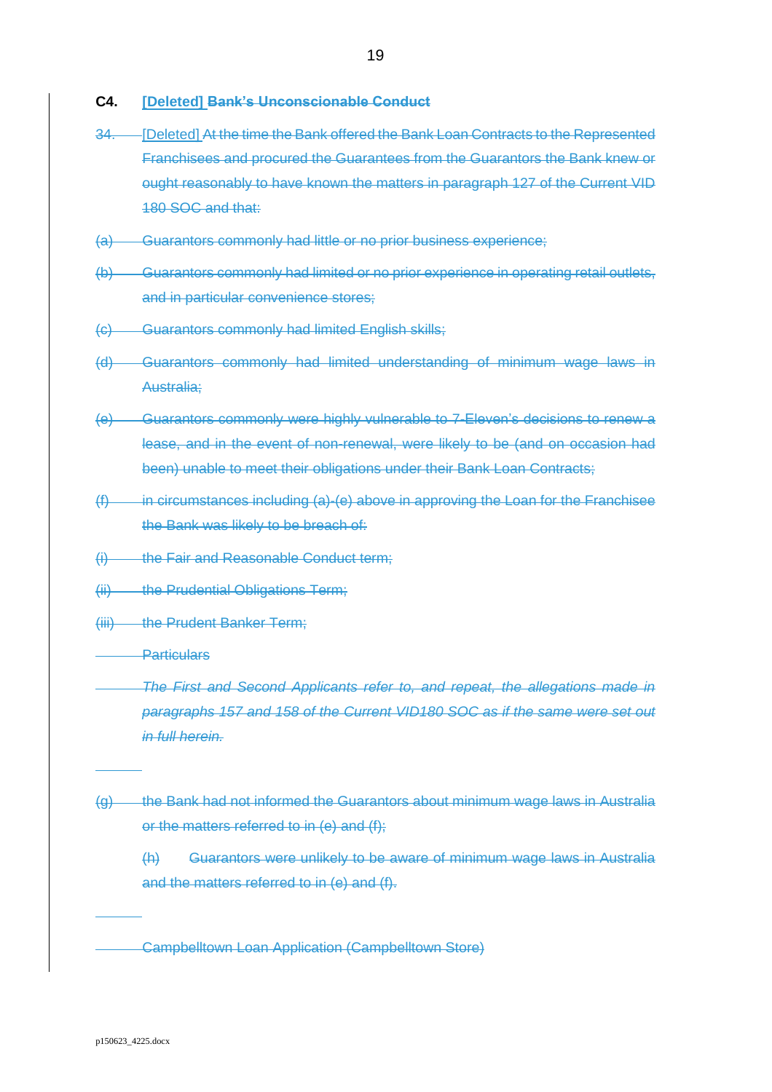- **C4. [Deleted] Bank's Unconscionable Conduct**
- <span id="page-19-3"></span>34. [Deleted] At the time the Bank offered the Bank Loan Contracts to the Represented Franchisees and procured the Guarantees from the Guarantors the Bank knew or ought reasonably to have known the matters in paragraph 127 of the Current VID 180 SOC and that:
- <span id="page-19-0"></span>(a) Guarantors commonly had little or no prior business experience;
- (b) Guarantors commonly had limited or no prior experience in operating retail outlets, and in particular convenience stores;
- (c) Guarantors commonly had limited English skills;
- (d) Guarantors commonly had limited understanding of minimum wage laws in Australia;
- <span id="page-19-1"></span>(e) Guarantors commonly were highly vulnerable to 7-Eleven's decisions to renew a lease, and in the event of non-renewal, were likely to be (and on occasion had been) unable to meet their obligations under their Bank Loan Contracts;
- <span id="page-19-2"></span> $(f)$  in circumstances including [\(a\)](#page-19-0)[-\(e\)](#page-19-1) above in approving the Loan for the Franchisee the Bank was likely to be breach of:
- (i) the Fair and Reasonable Conduct term;
- (ii) the Prudential Obligations Term;
- (iii) the Prudent Banker Term;
- **Particulars** 
	- *The First and Second Applicants refer to, and repeat, the allegations made in paragraphs 157 and 158 of the Current VID180 SOC as if the same were set out in full herein.*
- (g) the Bank had not informed the Guarantors about minimum wage laws in Australia or the matters referred to in [\(e\)](#page-19-1) and [\(f\);](#page-19-2)
	- (h) Guarantors were unlikely to be aware of minimum wage laws in Australia and the matters referred to in [\(e\)](#page-19-1) and [\(f\).](#page-19-2)

Campbelltown Loan Application (Campbelltown Store)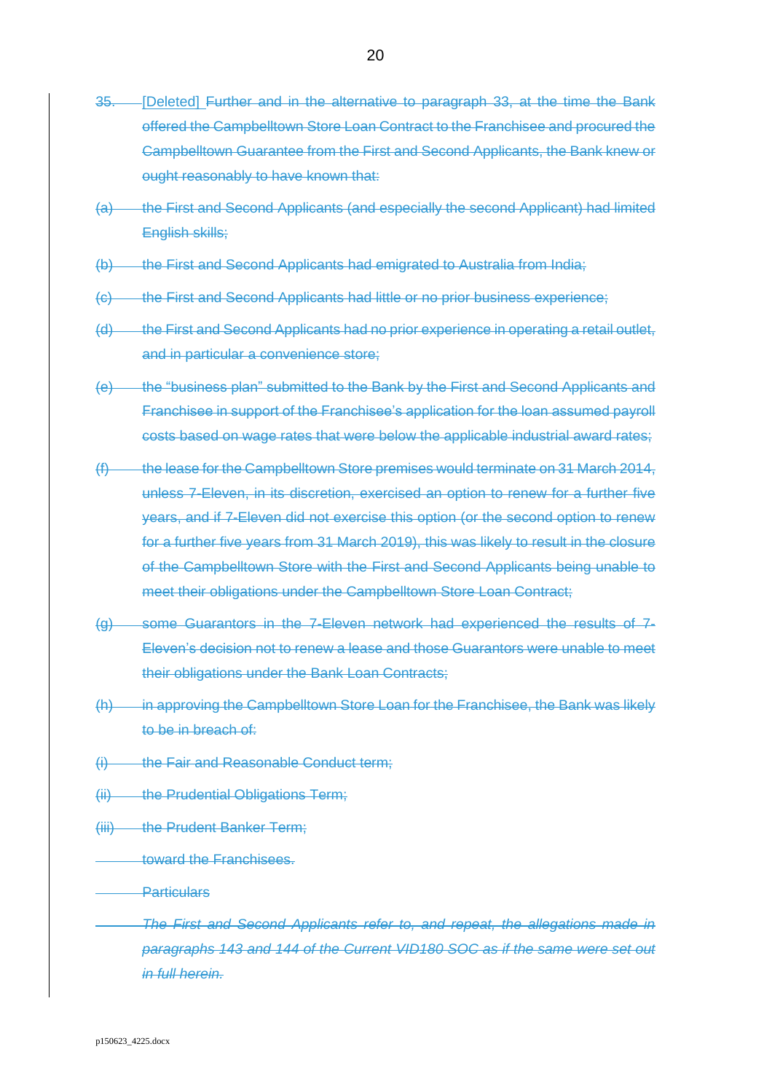- <span id="page-20-0"></span>35. [Deleted] Further and in the alternative to paragraph [33,](#page-18-2) at the time the Bank offered the Campbelltown Store Loan Contract to the Franchisee and procured the Campbelltown Guarantee from the First and Second Applicants, the Bank knew or ought reasonably to have known that:
- (a) the First and Second Applicants (and especially the second Applicant) had limited English skills;
- (b) the First and Second Applicants had emigrated to Australia from India;
- (c) the First and Second Applicants had little or no prior business experience;
- (d) the First and Second Applicants had no prior experience in operating a retail outlet, and in particular a convenience store;
- (e) the "business plan" submitted to the Bank by the First and Second Applicants and Franchisee in support of the Franchisee's application for the loan assumed payroll costs based on wage rates that were below the applicable industrial award rates;
- (f) the lease for the Campbelltown Store premises would terminate on 31 March 2014, unless 7-Eleven, in its discretion, exercised an option to renew for a further five years, and if 7-Eleven did not exercise this option (or the second option to renew for a further five years from 31 March 2019), this was likely to result in the closure of the Campbelltown Store with the First and Second Applicants being unable to meet their obligations under the Campbelltown Store Loan Contract;
- (g) some Guarantors in the 7-Eleven network had experienced the results of 7- Eleven's decision not to renew a lease and those Guarantors were unable to meet their obligations under the Bank Loan Contracts;
- (h) in approving the Campbelltown Store Loan for the Franchisee, the Bank was likely to be in breach of:
- (i) the Fair and Reasonable Conduct term;
- (ii) the Prudential Obligations Term;
- (iii) the Prudent Banker Term;
	- toward the Franchisees.
- **Particulars**

*The First and Second Applicants refer to, and repeat, the allegations made in paragraphs 143 and 144 of the Current VID180 SOC as if the same were set out in full herein.*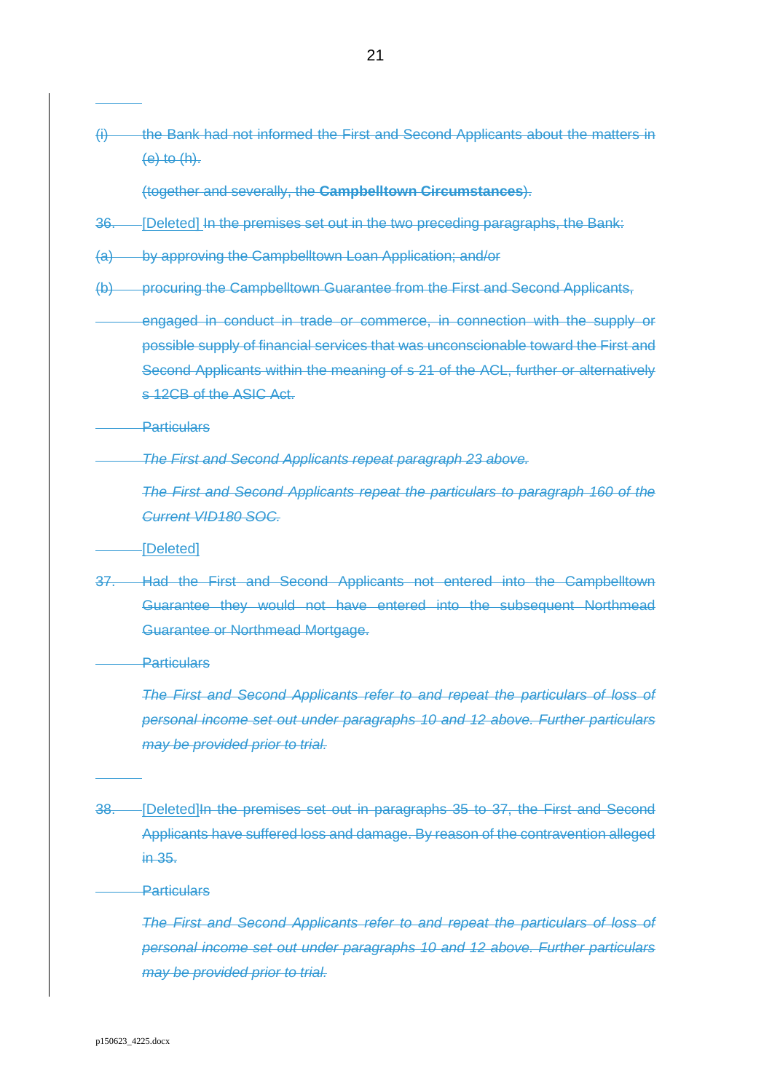(i) the Bank had not informed the First and Second Applicants about the matters in (e) to (h).

(together and severally, the **Campbelltown Circumstances**).

- 36. [Deleted] In the premises set out in the two preceding paragraphs, the Bank:
- (a) by approving the Campbelltown Loan Application; and/or
- (b) procuring the Campbelltown Guarantee from the First and Second Applicants,
- engaged in conduct in trade or commerce, in connection with the supply or possible supply of financial services that was unconscionable toward the First and Second Applicants within the meaning of s 21 of the ACL, further or alternatively s 12CB of the ASIC Act.
- **Particulars**

*The First and Second Applicants repeat paragraph [23](#page-15-3) above.*

*The First and Second Applicants repeat the particulars to paragraph 160 of the Current VID180 SOC.*

#### [Deleted]

<span id="page-21-0"></span>37. Had the First and Second Applicants not entered into the Campbelltown Guarantee they would not have entered into the subsequent Northmead Guarantee or Northmead Mortgage.

**Particulars** 

*The First and Second Applicants refer to and repeat the particulars of loss of personal income set out under paragraphs [10](#page-7-0) and [12](#page-8-2) above. Further particulars may be provided prior to trial.*

<span id="page-21-1"></span>38. [Deleted]In the premises set out in paragraphs [35](#page-20-0) to [37,](#page-21-0) the First and Second Applicants have suffered loss and damage. By reason of the contravention alleged in [35.](#page-20-0)

### **Particulars**

*The First and Second Applicants refer to and repeat the particulars of loss of personal income set out under paragraphs 10 and 12 above. Further particulars may be provided prior to trial.*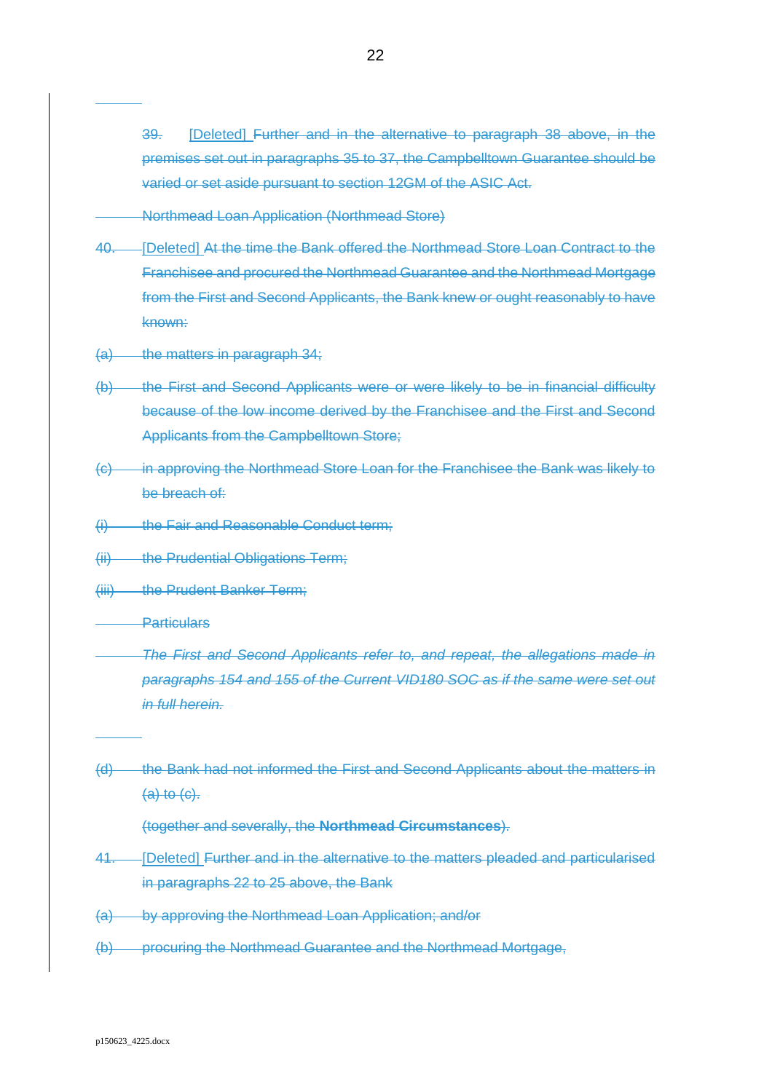39. [Deleted] Further and in the alternative to paragraph [38](#page-21-1) above, in the premises set out in paragraphs [35](#page-20-0) to [37,](#page-21-0) the Campbelltown Guarantee should be varied or set aside pursuant to section 12GM of the ASIC Act.

Northmead Loan Application (Northmead Store)

- 40. [Deleted] At the time the Bank offered the Northmead Store Loan Contract to the Franchisee and procured the Northmead Guarantee and the Northmead Mortgage from the First and Second Applicants, the Bank knew or ought reasonably to have known:
- <span id="page-22-0"></span>(a) the matters in paragraph [34;](#page-19-3)
- (b) the First and Second Applicants were or were likely to be in financial difficulty because of the low income derived by the Franchisee and the First and Second Applicants from the Campbelltown Store;
- <span id="page-22-1"></span>(c) in approving the Northmead Store Loan for the Franchisee the Bank was likely to be breach of:
- (i) the Fair and Reasonable Conduct term;
- (ii) the Prudential Obligations Term;
- (iii) the Prudent Banker Term;
- **Particulars** 
	- *The First and Second Applicants refer to, and repeat, the allegations made in paragraphs 154 and 155 of the Current VID180 SOC as if the same were set out in full herein.*
- (d) the Bank had not informed the First and Second Applicants about the matters in  $(a)$  to  $(c)$ .

(together and severally, the **Northmead Circumstances**).

- <span id="page-22-2"></span>41. [Deleted] Further and in the alternative to the matters pleaded and particularised in paragraphs [22](#page-15-1) to [25](#page-16-5) above, the Bank
- (a) by approving the Northmead Loan Application; and/or
- (b) procuring the Northmead Guarantee and the Northmead Mortgage,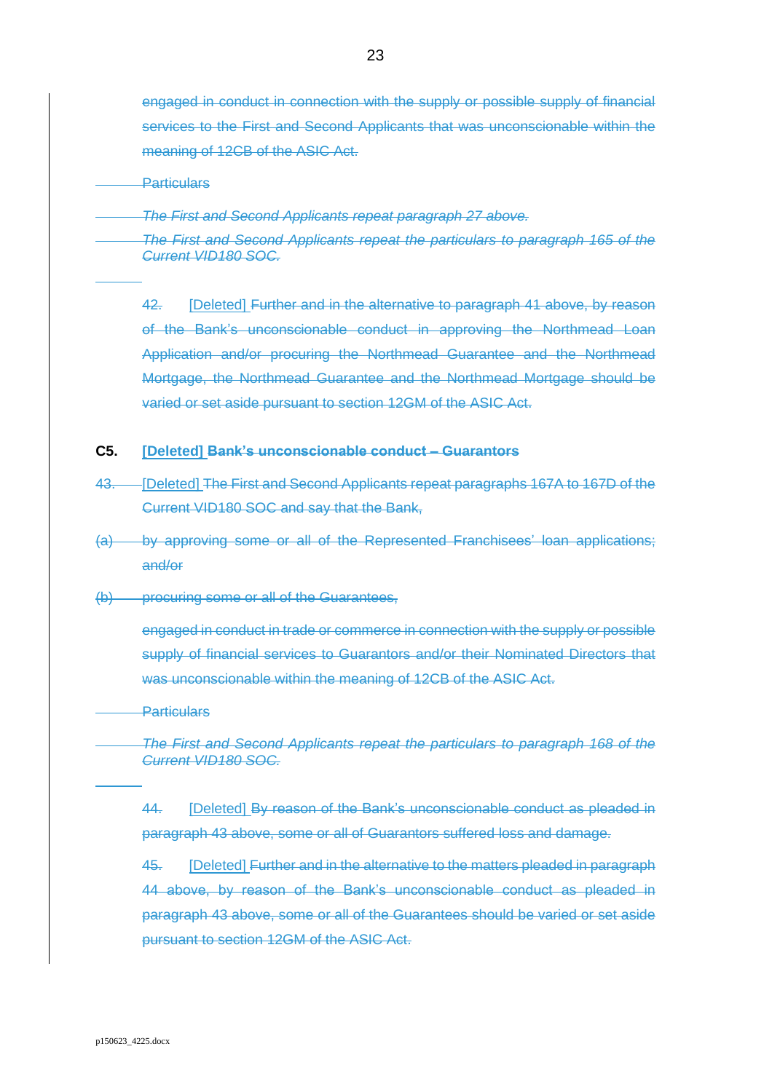engaged in conduct in connection with the supply or possible supply of financial services to the First and Second Applicants that was unconscionable within the meaning of 12CB of the ASIC Act.

**Particulars** 

*The First and Second Applicants repeat paragraph [27](#page-16-4) above.*

*The First and Second Applicants repeat the particulars to paragraph 165 of the Current VID180 SOC.*

42. [Deleted] Further and in the alternative to paragraph [41](#page-22-2) above, by reason of the Bank's unconscionable conduct in approving the Northmead Loan Application and/or procuring the Northmead Guarantee and the Northmead Mortgage, the Northmead Guarantee and the Northmead Mortgage should be varied or set aside pursuant to section 12GM of the ASIC Act.

### **C5. [Deleted] Bank's unconscionable conduct – Guarantors**

- <span id="page-23-0"></span>43. [Deleted] The First and Second Applicants repeat paragraphs 167A to 167D of the Current VID180 SOC and say that the Bank,
- (a) by approving some or all of the Represented Franchisees' loan applications; and/or
- (b) procuring some or all of the Guarantees,

engaged in conduct in trade or commerce in connection with the supply or possible supply of financial services to Guarantors and/or their Nominated Directors that was unconscionable within the meaning of 12CB of the ASIC Act.

**Particulars** 

*The First and Second Applicants repeat the particulars to paragraph 168 of the Current VID180 SOC.*

<span id="page-23-1"></span>44. [Deleted] By reason of the Bank's unconscionable conduct as pleaded in paragraph [43](#page-23-0) above, some or all of Guarantors suffered loss and damage.

45. [Deleted] Further and in the alternative to the matters pleaded in paragraph [44](#page-23-1) above, by reason of the Bank's unconscionable conduct as pleaded in paragraph [43](#page-23-0) above, some or all of the Guarantees should be varied or set aside pursuant to section 12GM of the ASIC Act.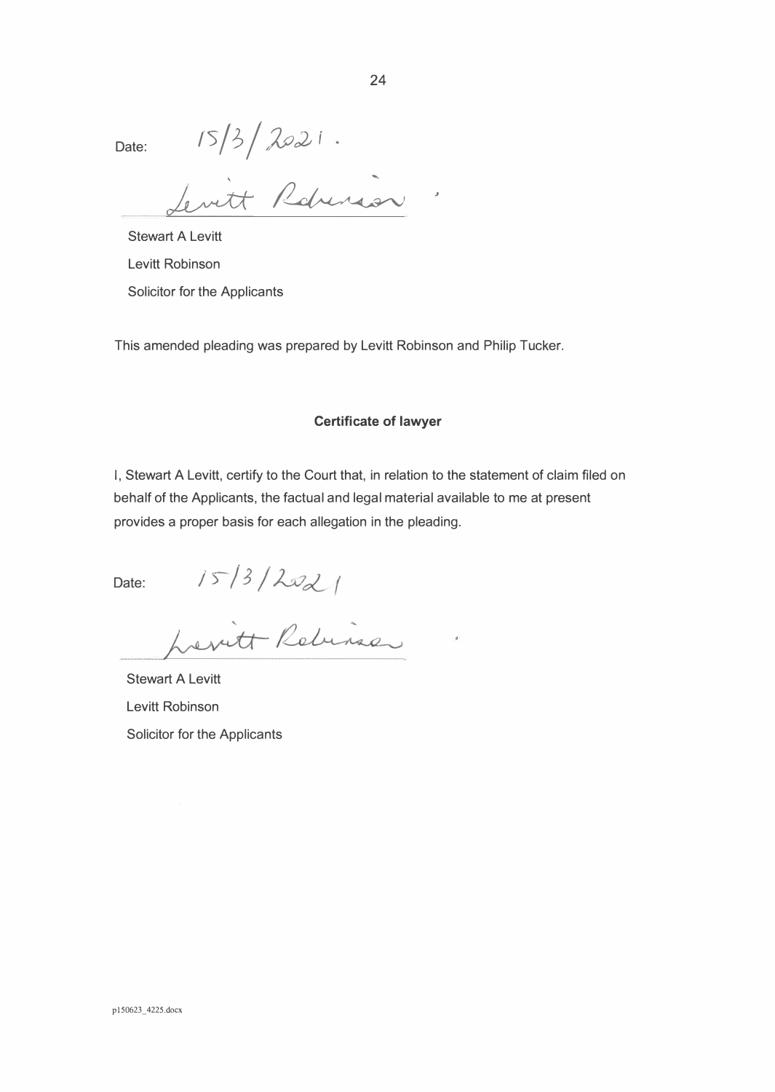Date:  $15/3 / 2021$ 

 $\overline{\alpha}$ 

Stewart A Levitt Levitt Robinson Solicitor for the Applicants

This amended pleading was prepared by Levitt Robinson and Philip Tucker.

#### **Certificate of lawyer**

I, Stewart A Levitt, certify to the Court that, in relation to the statement of claim filed on behalf of the Applicants, the factual and legal material available to me at present provides a proper basis for each allegation in the pleading.

Date:

15/3/2021

Stewart A Levitt Levitt Robinson Solicitor for the Applicants

,